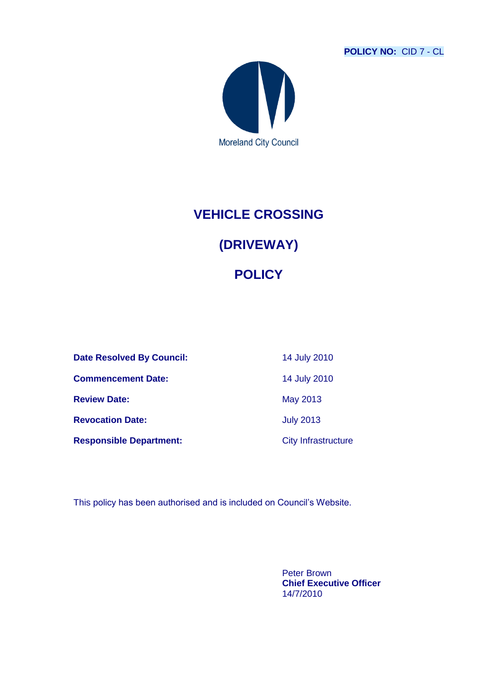**POLICY NO:** CID 7 - CL



# **VEHICLE CROSSING**

## **(DRIVEWAY)**

## **POLICY**

| <b>Date Resolved By Council:</b> | 14 July 2010               |
|----------------------------------|----------------------------|
| <b>Commencement Date:</b>        | 14 July 2010               |
| <b>Review Date:</b>              | May 2013                   |
| <b>Revocation Date:</b>          | <b>July 2013</b>           |
| <b>Responsible Department:</b>   | <b>City Infrastructure</b> |

This policy has been authorised and is included on Council's Website.

Peter Brown **Chief Executive Officer** 14/7/2010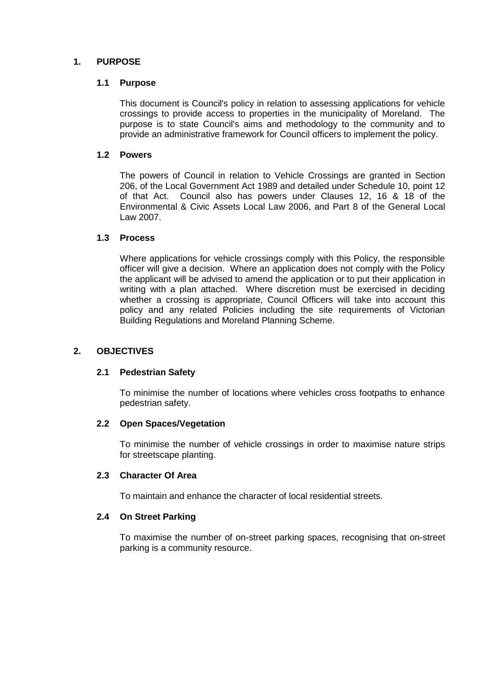## **1. PURPOSE**

#### **1.1 Purpose**

This document is Council's policy in relation to assessing applications for vehicle crossings to provide access to properties in the municipality of Moreland. The purpose is to state Council's aims and methodology to the community and to provide an administrative framework for Council officers to implement the policy.

#### **1.2 Powers**

The powers of Council in relation to Vehicle Crossings are granted in Section 206, of the Local Government Act 1989 and detailed under Schedule 10, point 12 of that Act. Council also has powers under Clauses 12, 16 & 18 of the Environmental & Civic Assets Local Law 2006, and Part 8 of the General Local Law 2007.

#### **1.3 Process**

Where applications for vehicle crossings comply with this Policy, the responsible officer will give a decision. Where an application does not comply with the Policy the applicant will be advised to amend the application or to put their application in writing with a plan attached. Where discretion must be exercised in deciding whether a crossing is appropriate. Council Officers will take into account this policy and any related Policies including the site requirements of Victorian Building Regulations and Moreland Planning Scheme.

#### **2. OBJECTIVES**

#### **2.1 Pedestrian Safety**

To minimise the number of locations where vehicles cross footpaths to enhance pedestrian safety.

#### **2.2 Open Spaces/Vegetation**

To minimise the number of vehicle crossings in order to maximise nature strips for streetscape planting.

#### **2.3 Character Of Area**

To maintain and enhance the character of local residential streets.

#### **2.4 On Street Parking**

To maximise the number of on-street parking spaces, recognising that on-street parking is a community resource.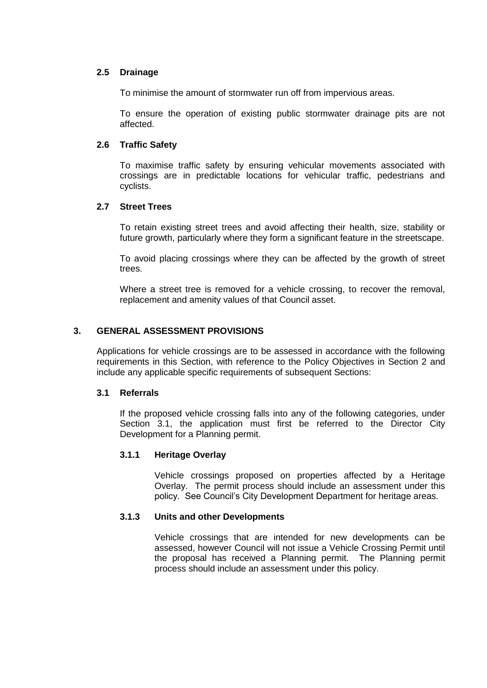#### **2.5 Drainage**

To minimise the amount of stormwater run off from impervious areas.

To ensure the operation of existing public stormwater drainage pits are not affected.

#### **2.6 Traffic Safety**

To maximise traffic safety by ensuring vehicular movements associated with crossings are in predictable locations for vehicular traffic, pedestrians and cyclists.

#### **2.7 Street Trees**

To retain existing street trees and avoid affecting their health, size, stability or future growth, particularly where they form a significant feature in the streetscape.

To avoid placing crossings where they can be affected by the growth of street trees.

Where a street tree is removed for a vehicle crossing, to recover the removal, replacement and amenity values of that Council asset.

#### **3. GENERAL ASSESSMENT PROVISIONS**

Applications for vehicle crossings are to be assessed in accordance with the following requirements in this Section, with reference to the Policy Objectives in Section 2 and include any applicable specific requirements of subsequent Sections:

#### **3.1 Referrals**

If the proposed vehicle crossing falls into any of the following categories, under Section 3.1, the application must first be referred to the Director City Development for a Planning permit.

#### **3.1.1 Heritage Overlay**

Vehicle crossings proposed on properties affected by a Heritage Overlay. The permit process should include an assessment under this policy. See Council's City Development Department for heritage areas.

#### **3.1.3 Units and other Developments**

Vehicle crossings that are intended for new developments can be assessed, however Council will not issue a Vehicle Crossing Permit until the proposal has received a Planning permit. The Planning permit process should include an assessment under this policy.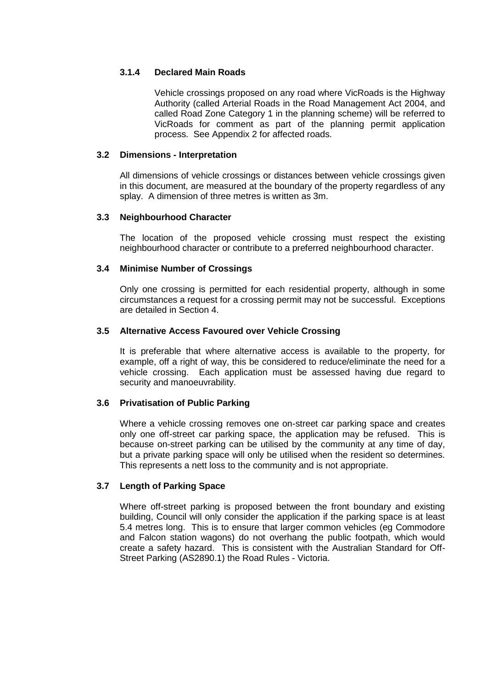#### **3.1.4 Declared Main Roads**

Vehicle crossings proposed on any road where VicRoads is the Highway Authority (called Arterial Roads in the Road Management Act 2004, and called Road Zone Category 1 in the planning scheme) will be referred to VicRoads for comment as part of the planning permit application process. See Appendix 2 for affected roads.

#### **3.2 Dimensions - Interpretation**

All dimensions of vehicle crossings or distances between vehicle crossings given in this document, are measured at the boundary of the property regardless of any splay. A dimension of three metres is written as 3m.

#### **3.3 Neighbourhood Character**

The location of the proposed vehicle crossing must respect the existing neighbourhood character or contribute to a preferred neighbourhood character.

#### **3.4 Minimise Number of Crossings**

Only one crossing is permitted for each residential property, although in some circumstances a request for a crossing permit may not be successful. Exceptions are detailed in Section 4.

#### **3.5 Alternative Access Favoured over Vehicle Crossing**

It is preferable that where alternative access is available to the property, for example, off a right of way, this be considered to reduce/eliminate the need for a vehicle crossing. Each application must be assessed having due regard to security and manoeuvrability.

#### **3.6 Privatisation of Public Parking**

Where a vehicle crossing removes one on-street car parking space and creates only one off-street car parking space, the application may be refused. This is because on-street parking can be utilised by the community at any time of day, but a private parking space will only be utilised when the resident so determines. This represents a nett loss to the community and is not appropriate.

#### **3.7 Length of Parking Space**

Where off-street parking is proposed between the front boundary and existing building, Council will only consider the application if the parking space is at least 5.4 metres long. This is to ensure that larger common vehicles (eg Commodore and Falcon station wagons) do not overhang the public footpath, which would create a safety hazard. This is consistent with the Australian Standard for Off-Street Parking (AS2890.1) the Road Rules - Victoria.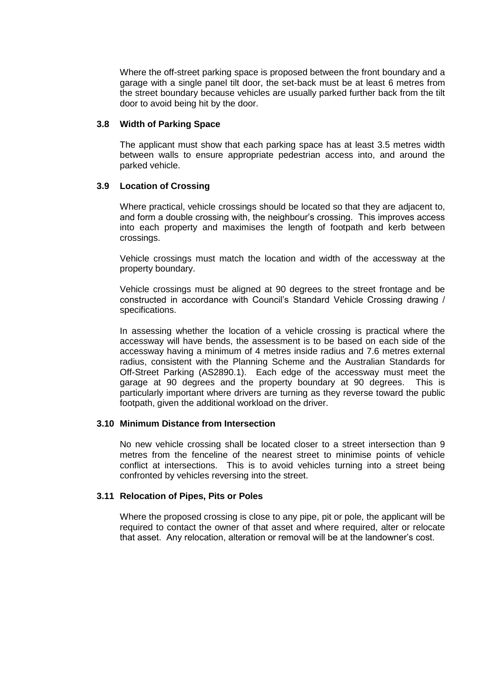Where the off-street parking space is proposed between the front boundary and a garage with a single panel tilt door, the set-back must be at least 6 metres from the street boundary because vehicles are usually parked further back from the tilt door to avoid being hit by the door.

#### **3.8 Width of Parking Space**

The applicant must show that each parking space has at least 3.5 metres width between walls to ensure appropriate pedestrian access into, and around the parked vehicle.

#### **3.9 Location of Crossing**

Where practical, vehicle crossings should be located so that they are adjacent to, and form a double crossing with, the neighbour's crossing. This improves access into each property and maximises the length of footpath and kerb between crossings.

Vehicle crossings must match the location and width of the accessway at the property boundary.

Vehicle crossings must be aligned at 90 degrees to the street frontage and be constructed in accordance with Council's Standard Vehicle Crossing drawing / specifications.

In assessing whether the location of a vehicle crossing is practical where the accessway will have bends, the assessment is to be based on each side of the accessway having a minimum of 4 metres inside radius and 7.6 metres external radius, consistent with the Planning Scheme and the Australian Standards for Off-Street Parking (AS2890.1). Each edge of the accessway must meet the garage at 90 degrees and the property boundary at 90 degrees. This is particularly important where drivers are turning as they reverse toward the public footpath, given the additional workload on the driver.

#### **3.10 Minimum Distance from Intersection**

No new vehicle crossing shall be located closer to a street intersection than 9 metres from the fenceline of the nearest street to minimise points of vehicle conflict at intersections. This is to avoid vehicles turning into a street being confronted by vehicles reversing into the street.

#### **3.11 Relocation of Pipes, Pits or Poles**

Where the proposed crossing is close to any pipe, pit or pole, the applicant will be required to contact the owner of that asset and where required, alter or relocate that asset. Any relocation, alteration or removal will be at the landowner's cost.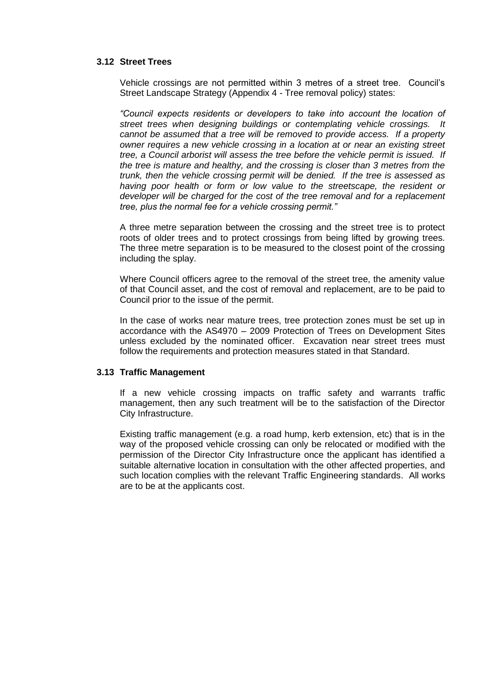#### **3.12 Street Trees**

Vehicle crossings are not permitted within 3 metres of a street tree. Council's Street Landscape Strategy (Appendix 4 - Tree removal policy) states:

*"Council expects residents or developers to take into account the location of street trees when designing buildings or contemplating vehicle crossings. It cannot be assumed that a tree will be removed to provide access. If a property owner requires a new vehicle crossing in a location at or near an existing street tree, a Council arborist will assess the tree before the vehicle permit is issued. If the tree is mature and healthy, and the crossing is closer than 3 metres from the trunk, then the vehicle crossing permit will be denied. If the tree is assessed as*  having poor health or form or low value to the streetscape, the resident or *developer will be charged for the cost of the tree removal and for a replacement tree, plus the normal fee for a vehicle crossing permit."*

A three metre separation between the crossing and the street tree is to protect roots of older trees and to protect crossings from being lifted by growing trees. The three metre separation is to be measured to the closest point of the crossing including the splay.

Where Council officers agree to the removal of the street tree, the amenity value of that Council asset, and the cost of removal and replacement, are to be paid to Council prior to the issue of the permit.

In the case of works near mature trees, tree protection zones must be set up in accordance with the AS4970 – 2009 Protection of Trees on Development Sites unless excluded by the nominated officer. Excavation near street trees must follow the requirements and protection measures stated in that Standard.

#### **3.13 Traffic Management**

If a new vehicle crossing impacts on traffic safety and warrants traffic management, then any such treatment will be to the satisfaction of the Director City Infrastructure.

Existing traffic management (e.g. a road hump, kerb extension, etc) that is in the way of the proposed vehicle crossing can only be relocated or modified with the permission of the Director City Infrastructure once the applicant has identified a suitable alternative location in consultation with the other affected properties, and such location complies with the relevant Traffic Engineering standards. All works are to be at the applicants cost.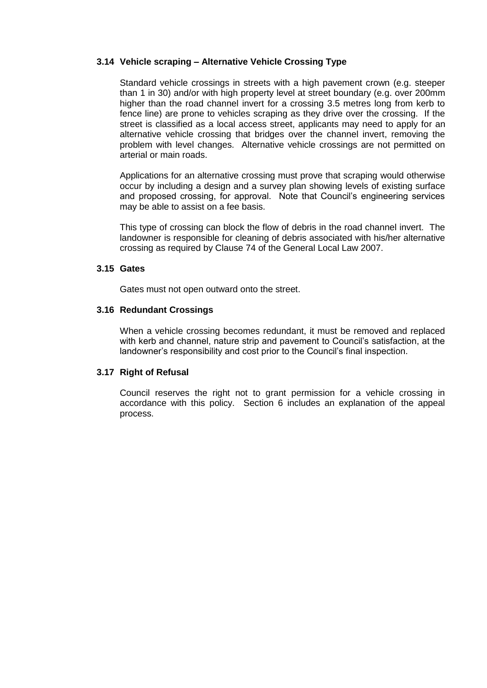#### **3.14 Vehicle scraping – Alternative Vehicle Crossing Type**

Standard vehicle crossings in streets with a high pavement crown (e.g. steeper than 1 in 30) and/or with high property level at street boundary (e.g. over 200mm higher than the road channel invert for a crossing 3.5 metres long from kerb to fence line) are prone to vehicles scraping as they drive over the crossing. If the street is classified as a local access street, applicants may need to apply for an alternative vehicle crossing that bridges over the channel invert, removing the problem with level changes. Alternative vehicle crossings are not permitted on arterial or main roads.

Applications for an alternative crossing must prove that scraping would otherwise occur by including a design and a survey plan showing levels of existing surface and proposed crossing, for approval. Note that Council's engineering services may be able to assist on a fee basis.

This type of crossing can block the flow of debris in the road channel invert. The landowner is responsible for cleaning of debris associated with his/her alternative crossing as required by Clause 74 of the General Local Law 2007.

#### **3.15 Gates**

Gates must not open outward onto the street.

#### **3.16 Redundant Crossings**

When a vehicle crossing becomes redundant, it must be removed and replaced with kerb and channel, nature strip and pavement to Council's satisfaction, at the landowner's responsibility and cost prior to the Council's final inspection.

#### **3.17 Right of Refusal**

Council reserves the right not to grant permission for a vehicle crossing in accordance with this policy. Section 6 includes an explanation of the appeal process.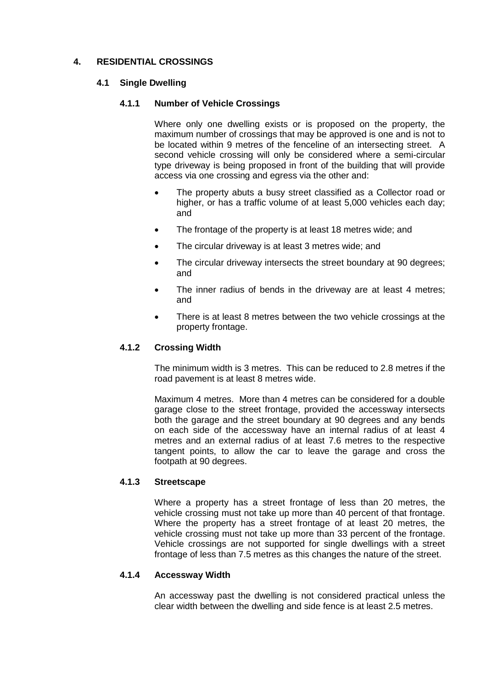## **4. RESIDENTIAL CROSSINGS**

#### **4.1 Single Dwelling**

#### **4.1.1 Number of Vehicle Crossings**

Where only one dwelling exists or is proposed on the property, the maximum number of crossings that may be approved is one and is not to be located within 9 metres of the fenceline of an intersecting street. A second vehicle crossing will only be considered where a semi-circular type driveway is being proposed in front of the building that will provide access via one crossing and egress via the other and:

- The property abuts a busy street classified as a Collector road or higher, or has a traffic volume of at least 5,000 vehicles each day; and
- The frontage of the property is at least 18 metres wide; and
- The circular driveway is at least 3 metres wide; and
- The circular driveway intersects the street boundary at 90 degrees; and
- The inner radius of bends in the driveway are at least 4 metres; and
- There is at least 8 metres between the two vehicle crossings at the property frontage.

### **4.1.2 Crossing Width**

The minimum width is 3 metres. This can be reduced to 2.8 metres if the road pavement is at least 8 metres wide.

Maximum 4 metres. More than 4 metres can be considered for a double garage close to the street frontage, provided the accessway intersects both the garage and the street boundary at 90 degrees and any bends on each side of the accessway have an internal radius of at least 4 metres and an external radius of at least 7.6 metres to the respective tangent points, to allow the car to leave the garage and cross the footpath at 90 degrees.

#### **4.1.3 Streetscape**

Where a property has a street frontage of less than 20 metres, the vehicle crossing must not take up more than 40 percent of that frontage. Where the property has a street frontage of at least 20 metres, the vehicle crossing must not take up more than 33 percent of the frontage. Vehicle crossings are not supported for single dwellings with a street frontage of less than 7.5 metres as this changes the nature of the street.

#### **4.1.4 Accessway Width**

An accessway past the dwelling is not considered practical unless the clear width between the dwelling and side fence is at least 2.5 metres.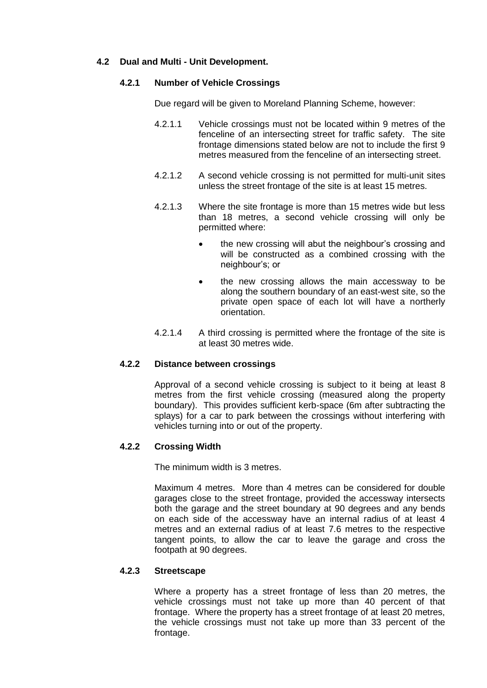## **4.2 Dual and Multi - Unit Development.**

## **4.2.1 Number of Vehicle Crossings**

Due regard will be given to Moreland Planning Scheme, however:

- 4.2.1.1 Vehicle crossings must not be located within 9 metres of the fenceline of an intersecting street for traffic safety. The site frontage dimensions stated below are not to include the first 9 metres measured from the fenceline of an intersecting street.
- 4.2.1.2 A second vehicle crossing is not permitted for multi-unit sites unless the street frontage of the site is at least 15 metres.
- 4.2.1.3 Where the site frontage is more than 15 metres wide but less than 18 metres, a second vehicle crossing will only be permitted where:
	- the new crossing will abut the neighbour's crossing and will be constructed as a combined crossing with the neighbour's; or
	- the new crossing allows the main accessway to be along the southern boundary of an east-west site, so the private open space of each lot will have a northerly orientation.
- 4.2.1.4 A third crossing is permitted where the frontage of the site is at least 30 metres wide.

## **4.2.2 Distance between crossings**

Approval of a second vehicle crossing is subject to it being at least 8 metres from the first vehicle crossing (measured along the property boundary). This provides sufficient kerb-space (6m after subtracting the splays) for a car to park between the crossings without interfering with vehicles turning into or out of the property.

## **4.2.2 Crossing Width**

The minimum width is 3 metres.

Maximum 4 metres. More than 4 metres can be considered for double garages close to the street frontage, provided the accessway intersects both the garage and the street boundary at 90 degrees and any bends on each side of the accessway have an internal radius of at least 4 metres and an external radius of at least 7.6 metres to the respective tangent points, to allow the car to leave the garage and cross the footpath at 90 degrees.

#### **4.2.3 Streetscape**

Where a property has a street frontage of less than 20 metres, the vehicle crossings must not take up more than 40 percent of that frontage. Where the property has a street frontage of at least 20 metres, the vehicle crossings must not take up more than 33 percent of the frontage.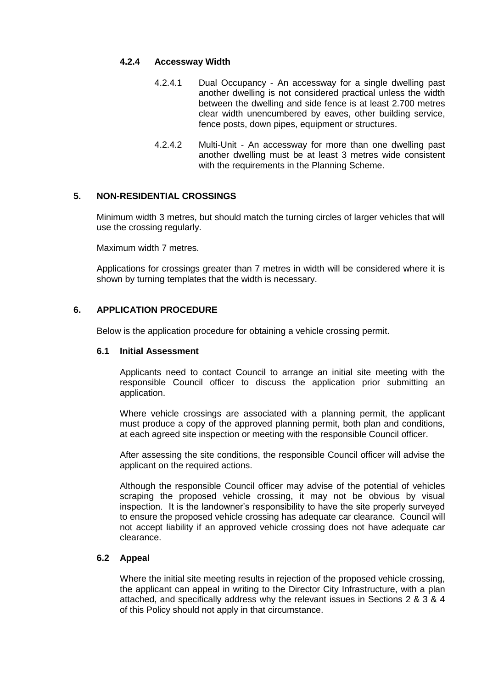#### **4.2.4 Accessway Width**

- 4.2.4.1 Dual Occupancy An accessway for a single dwelling past another dwelling is not considered practical unless the width between the dwelling and side fence is at least 2.700 metres clear width unencumbered by eaves, other building service, fence posts, down pipes, equipment or structures.
- 4.2.4.2 Multi-Unit An accessway for more than one dwelling past another dwelling must be at least 3 metres wide consistent with the requirements in the Planning Scheme.

## **5. NON-RESIDENTIAL CROSSINGS**

Minimum width 3 metres, but should match the turning circles of larger vehicles that will use the crossing regularly.

Maximum width 7 metres.

Applications for crossings greater than 7 metres in width will be considered where it is shown by turning templates that the width is necessary.

## **6. APPLICATION PROCEDURE**

Below is the application procedure for obtaining a vehicle crossing permit.

#### **6.1 Initial Assessment**

Applicants need to contact Council to arrange an initial site meeting with the responsible Council officer to discuss the application prior submitting an application.

Where vehicle crossings are associated with a planning permit, the applicant must produce a copy of the approved planning permit, both plan and conditions, at each agreed site inspection or meeting with the responsible Council officer.

After assessing the site conditions, the responsible Council officer will advise the applicant on the required actions.

Although the responsible Council officer may advise of the potential of vehicles scraping the proposed vehicle crossing, it may not be obvious by visual inspection. It is the landowner's responsibility to have the site properly surveyed to ensure the proposed vehicle crossing has adequate car clearance. Council will not accept liability if an approved vehicle crossing does not have adequate car clearance.

#### **6.2 Appeal**

Where the initial site meeting results in rejection of the proposed vehicle crossing, the applicant can appeal in writing to the Director City Infrastructure, with a plan attached, and specifically address why the relevant issues in Sections 2 & 3 & 4 of this Policy should not apply in that circumstance.